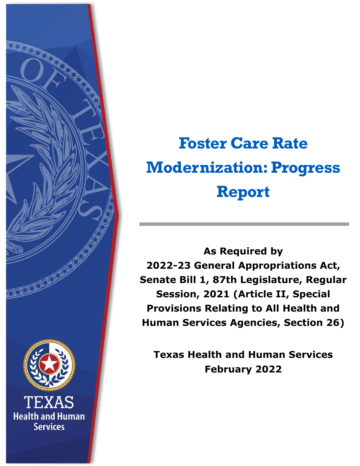

# **Foster Care Rate Modernization: Progress Report**

**As Required by 2022-23 General Appropriations Act, Senate Bill 1, 87th Legislature, Regular Session, 2021 (Article II, Special Provisions Relating to All Health and Human Services Agencies, Section 26)**

**Texas Health and Human Services February 2022**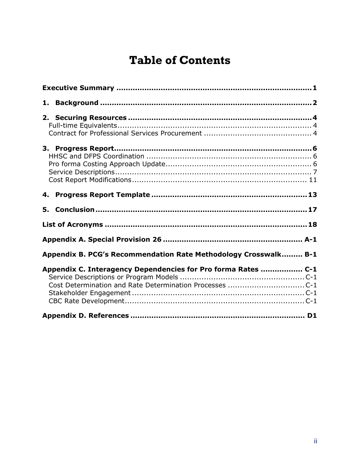### **Table of Contents**

| Appendix B. PCG's Recommendation Rate Methodology Crosswalk B-1 |  |
|-----------------------------------------------------------------|--|
| Appendix C. Interagency Dependencies for Pro forma Rates  C-1   |  |
|                                                                 |  |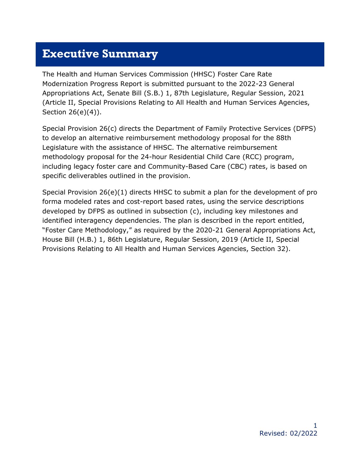#### <span id="page-2-0"></span>**Executive Summary**

The Health and Human Services Commission (HHSC) Foster Care Rate Modernization Progress Report is submitted pursuant to the 2022-23 General Appropriations Act, Senate Bill (S.B.) 1, 87th Legislature, Regular Session, 2021 (Article II, Special Provisions Relating to All Health and Human Services Agencies, Section 26(e)(4)).

Special Provision 26(c) directs the Department of Family Protective Services (DFPS) to develop an alternative reimbursement methodology proposal for the 88th Legislature with the assistance of HHSC. The alternative reimbursement methodology proposal for the 24-hour Residential Child Care (RCC) program, including legacy foster care and Community-Based Care (CBC) rates, is based on specific deliverables outlined in the provision.

Special Provision 26(e)(1) directs HHSC to submit a plan for the development of pro forma modeled rates and cost-report based rates, using the service descriptions developed by DFPS as outlined in subsection (c), including key milestones and identified interagency dependencies. The plan is described in the report entitled, "Foster Care Methodology," as required by the 2020-21 General Appropriations Act, House Bill (H.B.) 1, 86th Legislature, Regular Session, 2019 (Article II, Special Provisions Relating to All Health and Human Services Agencies, Section 32).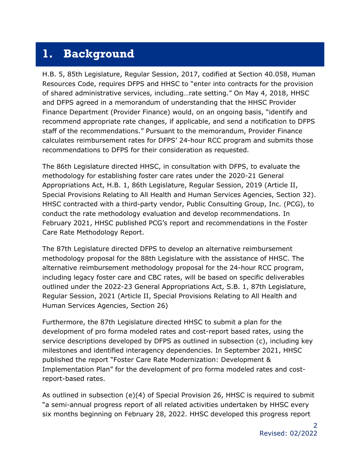#### <span id="page-3-0"></span>**1. Background**

H.B. 5, 85th Legislature, Regular Session, 2017, codified at Section 40.058, Human Resources Code, requires DFPS and HHSC to "enter into contracts for the provision of shared administrative services, including…rate setting." On May 4, 2018, HHSC and DFPS agreed in a memorandum of understanding that the HHSC Provider Finance Department (Provider Finance) would, on an ongoing basis, "identify and recommend appropriate rate changes, if applicable, and send a notification to DFPS staff of the recommendations." Pursuant to the memorandum, Provider Finance calculates reimbursement rates for DFPS' 24-hour RCC program and submits those recommendations to DFPS for their consideration as requested.

The 86th Legislature directed HHSC, in consultation with DFPS, to evaluate the methodology for establishing foster care rates under the 2020-21 General Appropriations Act, H.B. 1, 86th Legislature, Regular Session, 2019 (Article II, Special Provisions Relating to All Health and Human Services Agencies, Section 32). HHSC contracted with a third-party vendor, Public Consulting Group, Inc. (PCG), to conduct the rate methodology evaluation and develop recommendations. In February 2021, HHSC published PCG's report and recommendations in the Foster Care Rate Methodology Report.

The 87th Legislature directed DFPS to develop an alternative reimbursement methodology proposal for the 88th Legislature with the assistance of HHSC. The alternative reimbursement methodology proposal for the 24-hour RCC program, including legacy foster care and CBC rates, will be based on specific deliverables outlined under the 2022-23 General Appropriations Act, S.B. 1, 87th Legislature, Regular Session, 2021 (Article II, Special Provisions Relating to All Health and Human Services Agencies, Section 26)

Furthermore, the 87th Legislature directed HHSC to submit a plan for the development of pro forma modeled rates and cost-report based rates, using the service descriptions developed by DFPS as outlined in subsection (c), including key milestones and identified interagency dependencies. In September 2021, HHSC published the report "Foster Care Rate Modernization: Development & Implementation Plan" for the development of pro forma modeled rates and costreport-based rates.

As outlined in subsection (e)(4) of Special Provision 26, HHSC is required to submit "a semi-annual progress report of all related activities undertaken by HHSC every six months beginning on February 28, 2022. HHSC developed this progress report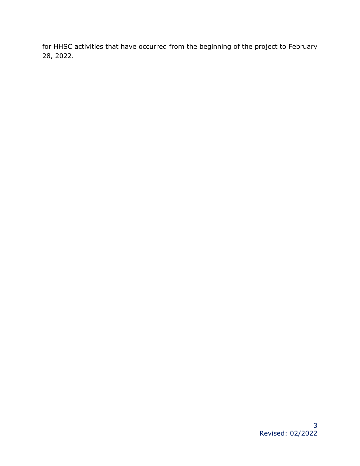for HHSC activities that have occurred from the beginning of the project to February 28, 2022.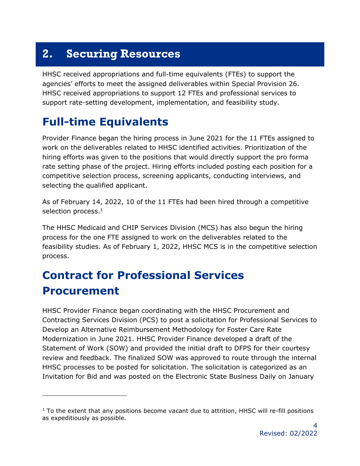## <span id="page-5-0"></span>**2. Securing Resources**

HHSC received appropriations and full-time equivalents (FTEs) to support the agencies' efforts to meet the assigned deliverables within Special Provision 26. HHSC received appropriations to support 12 FTEs and professional services to support rate-setting development, implementation, and feasibility study.

### <span id="page-5-1"></span>**Full-time Equivalents**

Provider Finance began the hiring process in June 2021 for the 11 FTEs assigned to work on the deliverables related to HHSC identified activities. Prioritization of the hiring efforts was given to the positions that would directly support the pro forma rate setting phase of the project. Hiring efforts included posting each position for a competitive selection process, screening applicants, conducting interviews, and selecting the qualified applicant.

As of February 14, 2022, 10 of the 11 FTEs had been hired through a competitive selection process.<sup>1</sup>

The HHSC Medicaid and CHIP Services Division (MCS) has also begun the hiring process for the one FTE assigned to work on the deliverables related to the feasibility studies. As of February 1, 2022, HHSC MCS is in the competitive selection process.

# <span id="page-5-2"></span>**Contract for Professional Services Procurement**

HHSC Provider Finance began coordinating with the HHSC Procurement and Contracting Services Division (PCS) to post a solicitation for Professional Services to Develop an Alternative Reimbursement Methodology for Foster Care Rate Modernization in June 2021. HHSC Provider Finance developed a draft of the Statement of Work (SOW) and provided the initial draft to DFPS for their courtesy review and feedback. The finalized SOW was approved to route through the internal HHSC processes to be posted for solicitation. The solicitation is categorized as an Invitation for Bid and was posted on the Electronic State Business Daily on January

 $1$  To the extent that any positions become vacant due to attrition, HHSC will re-fill positions as expeditiously as possible.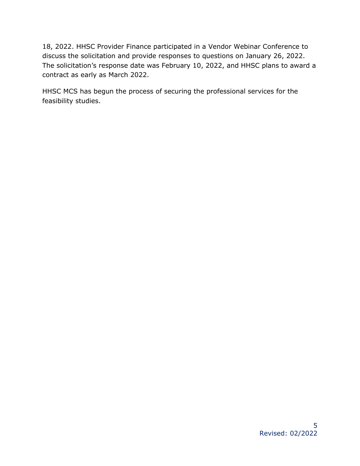18, 2022. HHSC Provider Finance participated in a Vendor Webinar Conference to discuss the solicitation and provide responses to questions on January 26, 2022. The solicitation's response date was February 10, 2022, and HHSC plans to award a contract as early as March 2022.

HHSC MCS has begun the process of securing the professional services for the feasibility studies.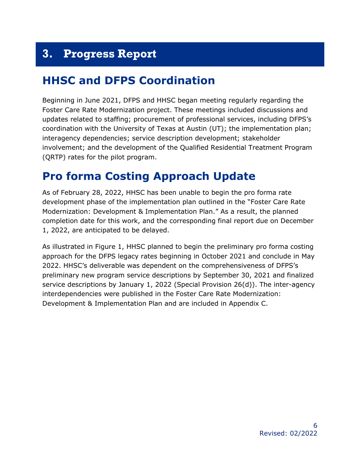# <span id="page-7-0"></span>**3. Progress Report**

#### <span id="page-7-1"></span>**HHSC and DFPS Coordination**

Beginning in June 2021, DFPS and HHSC began meeting regularly regarding the Foster Care Rate Modernization project. These meetings included discussions and updates related to staffing; procurement of professional services, including DFPS's coordination with the University of Texas at Austin (UT); the implementation plan; interagency dependencies; service description development; stakeholder involvement; and the development of the Qualified Residential Treatment Program (QRTP) rates for the pilot program.

### <span id="page-7-2"></span>**Pro forma Costing Approach Update**

As of February 28, 2022, HHSC has been unable to begin the pro forma rate development phase of the implementation plan outlined in the "Foster Care Rate Modernization: Development & Implementation Plan." As a result, the planned completion date for this work, and the corresponding final report due on December 1, 2022, are anticipated to be delayed.

As illustrated in Figure 1, HHSC planned to begin the preliminary pro forma costing approach for the DFPS legacy rates beginning in October 2021 and conclude in May 2022. HHSC's deliverable was dependent on the comprehensiveness of DFPS's preliminary new program service descriptions by September 30, 2021 and finalized service descriptions by January 1, 2022 (Special Provision 26(d)). The inter-agency interdependencies were published in the Foster Care Rate Modernization: Development & Implementation Plan and are included in Appendix C.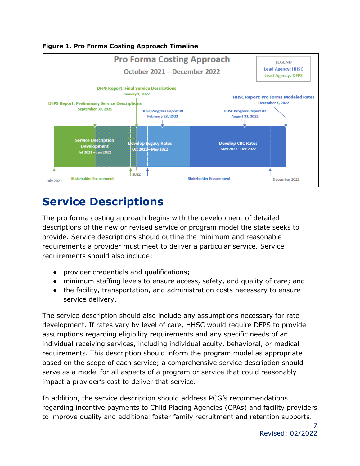

**Figure 1. Pro Forma Costing Approach Timeline**

#### <span id="page-8-0"></span>**Service Descriptions**

The pro forma costing approach begins with the development of detailed descriptions of the new or revised service or program model the state seeks to provide. Service descriptions should outline the minimum and reasonable requirements a provider must meet to deliver a particular service. Service requirements should also include:

- provider credentials and qualifications;
- minimum staffing levels to ensure access, safety, and quality of care; and
- the facility, transportation, and administration costs necessary to ensure service delivery.

The service description should also include any assumptions necessary for rate development. If rates vary by level of care, HHSC would require DFPS to provide assumptions regarding eligibility requirements and any specific needs of an individual receiving services, including individual acuity, behavioral, or medical requirements. This description should inform the program model as appropriate based on the scope of each service; a comprehensive service description should serve as a model for all aspects of a program or service that could reasonably impact a provider's cost to deliver that service.

In addition, the service description should address PCG's recommendations regarding incentive payments to Child Placing Agencies (CPAs) and facility providers to improve quality and additional foster family recruitment and retention supports.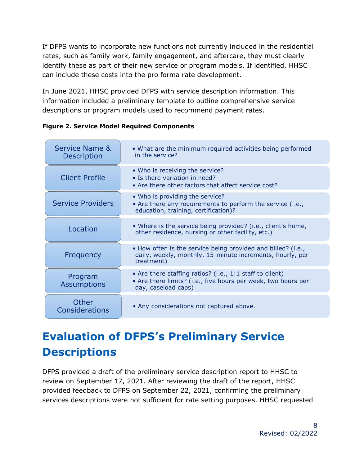If DFPS wants to incorporate new functions not currently included in the residential rates, such as family work, family engagement, and aftercare, they must clearly identify these as part of their new service or program models. If identified, HHSC can include these costs into the pro forma rate development.

In June 2021, HHSC provided DFPS with service description information. This information included a preliminary template to outline comprehensive service descriptions or program models used to recommend payment rates.

| Service Name &<br><b>Description</b> | • What are the minimum required activities being performed<br>in the service?                                                                    |
|--------------------------------------|--------------------------------------------------------------------------------------------------------------------------------------------------|
| <b>Client Profile</b>                | • Who is receiving the service?<br>• Is there variation in need?<br>• Are there other factors that affect service cost?                          |
| <b>Service Providers</b>             | • Who is providing the service?<br>• Are there any requirements to perform the service (i.e.,<br>education, training, certification)?            |
| Location                             | • Where is the service being provided? (i.e., client's home,<br>other residence, nursing or other facility, etc.)                                |
| Frequency                            | • How often is the service being provided and billed? (i.e.,<br>daily, weekly, monthly, 15-minute increments, hourly, per<br>treatment)          |
| Program<br><b>Assumptions</b>        | • Are there staffing ratios? (i.e., 1:1 staff to client)<br>• Are there limits? (i.e., five hours per week, two hours per<br>day, caseload caps) |
| Other<br>Considerations              | • Any considerations not captured above.                                                                                                         |

**Figure 2. Service Model Required Components**

# **Evaluation of DFPS's Preliminary Service Descriptions**

DFPS provided a draft of the preliminary service description report to HHSC to review on September 17, 2021. After reviewing the draft of the report, HHSC provided feedback to DFPS on September 22, 2021, confirming the preliminary services descriptions were not sufficient for rate setting purposes. HHSC requested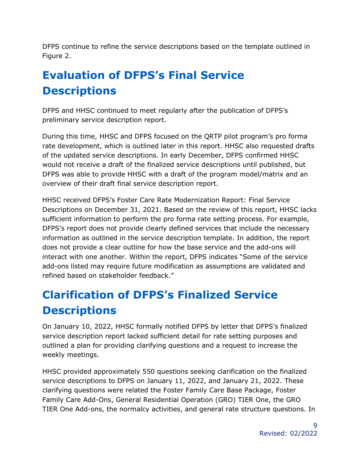DFPS continue to refine the service descriptions based on the template outlined in Figure 2.

# **Evaluation of DFPS's Final Service Descriptions**

DFPS and HHSC continued to meet regularly after the publication of DFPS's preliminary service description report.

During this time, HHSC and DFPS focused on the QRTP pilot program's pro forma rate development, which is outlined later in this report. HHSC also requested drafts of the updated service descriptions. In early December, DFPS confirmed HHSC would not receive a draft of the finalized service descriptions until published, but DFPS was able to provide HHSC with a draft of the program model/matrix and an overview of their draft final service description report.

HHSC received DFPS's Foster Care Rate Modernization Report: Final Service Descriptions on December 31, 2021. Based on the review of this report, HHSC lacks sufficient information to perform the pro forma rate setting process. For example, DFPS's report does not provide clearly defined services that include the necessary information as outlined in the service description template. In addition, the report does not provide a clear outline for how the base service and the add-ons will interact with one another. Within the report, DFPS indicates "Some of the service add-ons listed may require future modification as assumptions are validated and refined based on stakeholder feedback."

# **Clarification of DFPS's Finalized Service Descriptions**

On January 10, 2022, HHSC formally notified DFPS by letter that DFPS's finalized service description report lacked sufficient detail for rate setting purposes and outlined a plan for providing clarifying questions and a request to increase the weekly meetings.

HHSC provided approximately 550 questions seeking clarification on the finalized service descriptions to DFPS on January 11, 2022, and January 21, 2022. These clarifying questions were related the Foster Family Care Base Package, Foster Family Care Add-Ons, General Residential Operation (GRO) TIER One, the GRO TIER One Add-ons, the normalcy activities, and general rate structure questions. In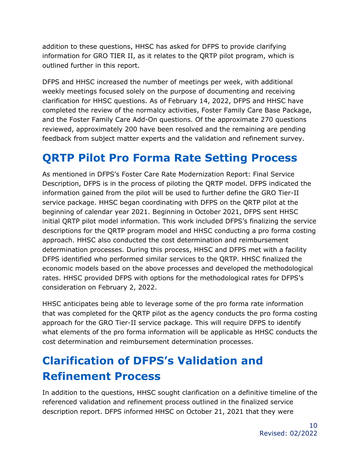addition to these questions, HHSC has asked for DFPS to provide clarifying information for GRO TIER II, as it relates to the QRTP pilot program, which is outlined further in this report.

DFPS and HHSC increased the number of meetings per week, with additional weekly meetings focused solely on the purpose of documenting and receiving clarification for HHSC questions. As of February 14, 2022, DFPS and HHSC have completed the review of the normalcy activities, Foster Family Care Base Package, and the Foster Family Care Add-On questions. Of the approximate 270 questions reviewed, approximately 200 have been resolved and the remaining are pending feedback from subject matter experts and the validation and refinement survey.

### **QRTP Pilot Pro Forma Rate Setting Process**

As mentioned in DFPS's Foster Care Rate Modernization Report: Final Service Description, DFPS is in the process of piloting the QRTP model. DFPS indicated the information gained from the pilot will be used to further define the GRO Tier-II service package. HHSC began coordinating with DFPS on the QRTP pilot at the beginning of calendar year 2021. Beginning in October 2021, DFPS sent HHSC initial QRTP pilot model information. This work included DFPS's finalizing the service descriptions for the QRTP program model and HHSC conducting a pro forma costing approach. HHSC also conducted the cost determination and reimbursement determination processes. During this process, HHSC and DFPS met with a facility DFPS identified who performed similar services to the QRTP. HHSC finalized the economic models based on the above processes and developed the methodological rates. HHSC provided DFPS with options for the methodological rates for DFPS's consideration on February 2, 2022.

HHSC anticipates being able to leverage some of the pro forma rate information that was completed for the QRTP pilot as the agency conducts the pro forma costing approach for the GRO Tier-II service package. This will require DFPS to identify what elements of the pro forma information will be applicable as HHSC conducts the cost determination and reimbursement determination processes.

# **Clarification of DFPS's Validation and Refinement Process**

In addition to the questions, HHSC sought clarification on a definitive timeline of the referenced validation and refinement process outlined in the finalized service description report. DFPS informed HHSC on October 21, 2021 that they were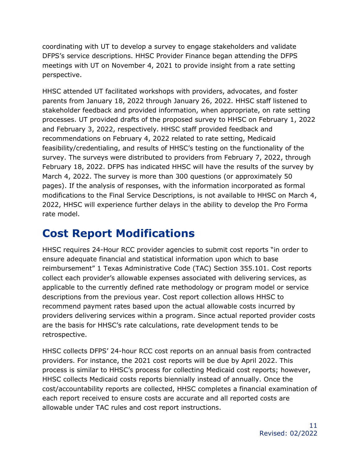coordinating with UT to develop a survey to engage stakeholders and validate DFPS's service descriptions. HHSC Provider Finance began attending the DFPS meetings with UT on November 4, 2021 to provide insight from a rate setting perspective.

HHSC attended UT facilitated workshops with providers, advocates, and foster parents from January 18, 2022 through January 26, 2022. HHSC staff listened to stakeholder feedback and provided information, when appropriate, on rate setting processes. UT provided drafts of the proposed survey to HHSC on February 1, 2022 and February 3, 2022, respectively. HHSC staff provided feedback and recommendations on February 4, 2022 related to rate setting, Medicaid feasibility/credentialing, and results of HHSC's testing on the functionality of the survey. The surveys were distributed to providers from February 7, 2022, through February 18, 2022. DFPS has indicated HHSC will have the results of the survey by March 4, 2022. The survey is more than 300 questions (or approximately 50 pages). If the analysis of responses, with the information incorporated as formal modifications to the Final Service Descriptions, is not available to HHSC on March 4, 2022, HHSC will experience further delays in the ability to develop the Pro Forma rate model.

## <span id="page-12-0"></span>**Cost Report Modifications**

HHSC requires 24-Hour RCC provider agencies to submit cost reports "in order to ensure adequate financial and statistical information upon which to base reimbursement" 1 Texas Administrative Code (TAC) Section 355.101. Cost reports collect each provider's allowable expenses associated with delivering services, as applicable to the currently defined rate methodology or program model or service descriptions from the previous year. Cost report collection allows HHSC to recommend payment rates based upon the actual allowable costs incurred by providers delivering services within a program. Since actual reported provider costs are the basis for HHSC's rate calculations, rate development tends to be retrospective.

HHSC collects DFPS' 24-hour RCC cost reports on an annual basis from contracted providers. For instance, the 2021 cost reports will be due by April 2022. This process is similar to HHSC's process for collecting Medicaid cost reports; however, HHSC collects Medicaid costs reports biennially instead of annually. Once the cost/accountability reports are collected, HHSC completes a financial examination of each report received to ensure costs are accurate and all reported costs are allowable under TAC rules and cost report instructions.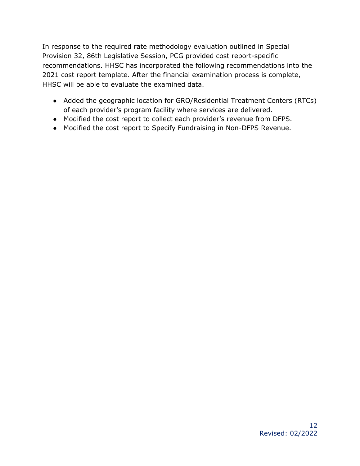In response to the required rate methodology evaluation outlined in Special Provision 32, 86th Legislative Session, PCG provided cost report-specific recommendations. HHSC has incorporated the following recommendations into the 2021 cost report template. After the financial examination process is complete, HHSC will be able to evaluate the examined data.

- Added the geographic location for GRO/Residential Treatment Centers (RTCs) of each provider's program facility where services are delivered.
- Modified the cost report to collect each provider's revenue from DFPS.
- Modified the cost report to Specify Fundraising in Non-DFPS Revenue.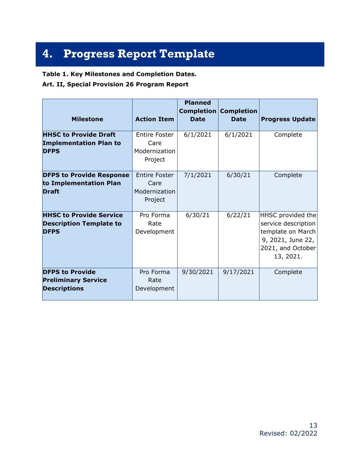# <span id="page-14-0"></span>**4. Progress Report Template**

#### **Table 1. Key Milestones and Completion Dates.**

**Art. II, Special Provision 26 Program Report**

| <b>Milestone</b>                                                                | <b>Action Item</b>                                       | <b>Planned</b><br>Completion<br><b>Date</b> | <b>Completion</b><br><b>Date</b> | <b>Progress Update</b>                                                                                               |
|---------------------------------------------------------------------------------|----------------------------------------------------------|---------------------------------------------|----------------------------------|----------------------------------------------------------------------------------------------------------------------|
| <b>HHSC to Provide Draft</b><br><b>Implementation Plan to</b><br><b>DFPS</b>    | <b>Entire Foster</b><br>Care<br>Modernization<br>Project | 6/1/2021                                    | 6/1/2021                         | Complete                                                                                                             |
| <b>DFPS to Provide Response</b><br>to Implementation Plan<br><b>Draft</b>       | <b>Entire Foster</b><br>Care<br>Modernization<br>Project | 7/1/2021                                    | 6/30/21                          | Complete                                                                                                             |
| <b>HHSC to Provide Service</b><br><b>Description Template to</b><br><b>DFPS</b> | Pro Forma<br>Rate<br>Development                         | 6/30/21                                     | 6/22/21                          | HHSC provided the<br>service description<br>template on March<br>9, 2021, June 22,<br>2021, and October<br>13, 2021. |
| <b>DFPS to Provide</b><br><b>Preliminary Service</b><br><b>Descriptions</b>     | Pro Forma<br>Rate<br>Development                         | 9/30/2021                                   | 9/17/2021                        | Complete                                                                                                             |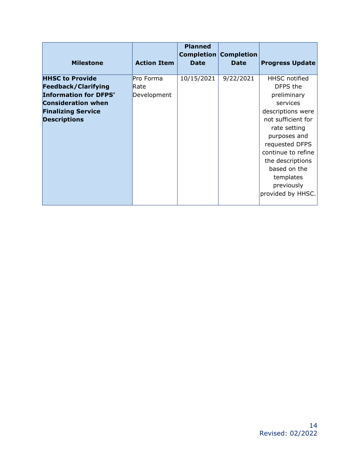| <b>Milestone</b>             | <b>Action Item</b> | <b>Planned</b><br><b>Date</b> | <b>Completion Completion</b><br><b>Date</b> | <b>Progress Update</b> |
|------------------------------|--------------------|-------------------------------|---------------------------------------------|------------------------|
| <b>HHSC to Provide</b>       | Pro Forma          | 10/15/2021                    | 9/22/2021                                   | <b>HHSC</b> notified   |
| <b>Feedback/Clarifying</b>   | Rate               |                               |                                             | DFPS the               |
| <b>Information for DFPS'</b> | Development        |                               |                                             | preliminary            |
| <b>Consideration when</b>    |                    |                               |                                             | services               |
| <b>Finalizing Service</b>    |                    |                               |                                             | descriptions were      |
| <b>Descriptions</b>          |                    |                               |                                             | not sufficient for     |
|                              |                    |                               |                                             | rate setting           |
|                              |                    |                               |                                             | purposes and           |
|                              |                    |                               |                                             | requested DFPS         |
|                              |                    |                               |                                             | continue to refine     |
|                              |                    |                               |                                             | the descriptions       |
|                              |                    |                               |                                             | based on the           |
|                              |                    |                               |                                             | templates              |
|                              |                    |                               |                                             | previously             |
|                              |                    |                               |                                             | provided by HHSC.      |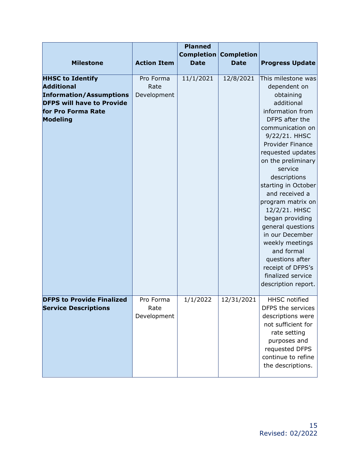| <b>Milestone</b>                                                                                                                                     | <b>Action Item</b>               | <b>Planned</b><br>Completion<br><b>Date</b> | <b>Completion</b><br><b>Date</b> | <b>Progress Update</b>                                                                                                                                                                                                                                                                                                                                                                                                                                                                            |
|------------------------------------------------------------------------------------------------------------------------------------------------------|----------------------------------|---------------------------------------------|----------------------------------|---------------------------------------------------------------------------------------------------------------------------------------------------------------------------------------------------------------------------------------------------------------------------------------------------------------------------------------------------------------------------------------------------------------------------------------------------------------------------------------------------|
| <b>HHSC to Identify</b><br><b>Additional</b><br><b>Information/Assumptions</b><br><b>DFPS will have to Provide</b><br>for Pro Forma Rate<br>Modeling | Pro Forma<br>Rate<br>Development | 11/1/2021                                   | 12/8/2021                        | This milestone was<br>dependent on<br>obtaining<br>additional<br>information from<br>DFPS after the<br>communication on<br>9/22/21. HHSC<br>Provider Finance<br>requested updates<br>on the preliminary<br>service<br>descriptions<br>starting in October<br>and received a<br>program matrix on<br>12/2/21. HHSC<br>began providing<br>general questions<br>in our December<br>weekly meetings<br>and formal<br>questions after<br>receipt of DFPS's<br>finalized service<br>description report. |
| <b>DFPS to Provide Finalized</b><br><b>Service Descriptions</b>                                                                                      | Pro Forma<br>Rate<br>Development | 1/1/2022                                    | 12/31/2021                       | <b>HHSC</b> notified<br>DFPS the services<br>descriptions were<br>not sufficient for<br>rate setting<br>purposes and<br>requested DFPS<br>continue to refine<br>the descriptions.                                                                                                                                                                                                                                                                                                                 |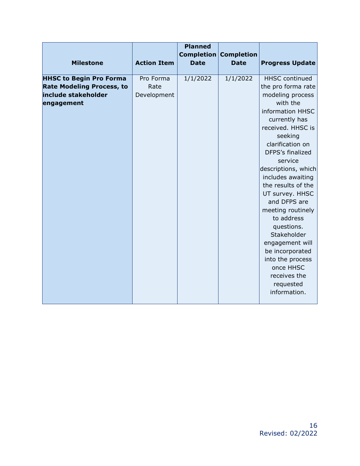| <b>Milestone</b>                                                                                        | <b>Action Item</b>               | <b>Planned</b><br>Completion<br><b>Date</b> | <b>Completion</b><br><b>Date</b> | <b>Progress Update</b>                                                                                                                                                                                                                                                                                                                                                                                                                                                                       |
|---------------------------------------------------------------------------------------------------------|----------------------------------|---------------------------------------------|----------------------------------|----------------------------------------------------------------------------------------------------------------------------------------------------------------------------------------------------------------------------------------------------------------------------------------------------------------------------------------------------------------------------------------------------------------------------------------------------------------------------------------------|
| <b>HHSC to Begin Pro Forma</b><br><b>Rate Modeling Process, to</b><br>include stakeholder<br>engagement | Pro Forma<br>Rate<br>Development | 1/1/2022                                    | 1/1/2022                         | <b>HHSC</b> continued<br>the pro forma rate<br>modeling process<br>with the<br>information HHSC<br>currently has<br>received. HHSC is<br>seeking<br>clarification on<br>DFPS's finalized<br>service<br>descriptions, which<br>includes awaiting<br>the results of the<br>UT survey. HHSC<br>and DFPS are<br>meeting routinely<br>to address<br>questions.<br>Stakeholder<br>engagement will<br>be incorporated<br>into the process<br>once HHSC<br>receives the<br>requested<br>information. |
|                                                                                                         |                                  |                                             |                                  |                                                                                                                                                                                                                                                                                                                                                                                                                                                                                              |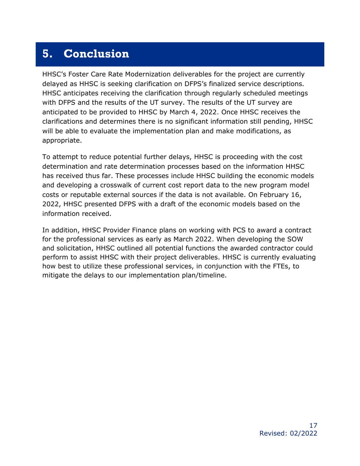#### <span id="page-18-0"></span>**5. Conclusion**

HHSC's Foster Care Rate Modernization deliverables for the project are currently delayed as HHSC is seeking clarification on DFPS's finalized service descriptions. HHSC anticipates receiving the clarification through regularly scheduled meetings with DFPS and the results of the UT survey. The results of the UT survey are anticipated to be provided to HHSC by March 4, 2022. Once HHSC receives the clarifications and determines there is no significant information still pending, HHSC will be able to evaluate the implementation plan and make modifications, as appropriate.

To attempt to reduce potential further delays, HHSC is proceeding with the cost determination and rate determination processes based on the information HHSC has received thus far. These processes include HHSC building the economic models and developing a crosswalk of current cost report data to the new program model costs or reputable external sources if the data is not available. On February 16, 2022, HHSC presented DFPS with a draft of the economic models based on the information received.

In addition, HHSC Provider Finance plans on working with PCS to award a contract for the professional services as early as March 2022. When developing the SOW and solicitation, HHSC outlined all potential functions the awarded contractor could perform to assist HHSC with their project deliverables. HHSC is currently evaluating how best to utilize these professional services, in conjunction with the FTEs, to mitigate the delays to our implementation plan/timeline.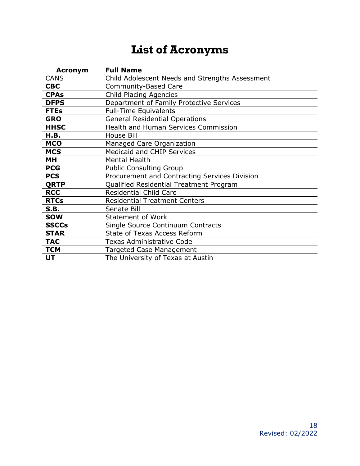# **List of Acronyms**

<span id="page-19-0"></span>

| <b>Acronym</b> | <b>Full Name</b>                                |
|----------------|-------------------------------------------------|
| <b>CANS</b>    | Child Adolescent Needs and Strengths Assessment |
| <b>CBC</b>     | Community-Based Care                            |
| <b>CPAs</b>    | Child Placing Agencies                          |
| <b>DFPS</b>    | Department of Family Protective Services        |
| <b>FTEs</b>    | <b>Full-Time Equivalents</b>                    |
| <b>GRO</b>     | <b>General Residential Operations</b>           |
| <b>HHSC</b>    | <b>Health and Human Services Commission</b>     |
| H.B.           | House Bill                                      |
| <b>MCO</b>     | Managed Care Organization                       |
| <b>MCS</b>     | <b>Medicaid and CHIP Services</b>               |
| MН             | <b>Mental Health</b>                            |
| <b>PCG</b>     | <b>Public Consulting Group</b>                  |
| <b>PCS</b>     | Procurement and Contracting Services Division   |
| <b>QRTP</b>    | Qualified Residential Treatment Program         |
| <b>RCC</b>     | <b>Residential Child Care</b>                   |
| <b>RTCs</b>    | <b>Residential Treatment Centers</b>            |
| <b>S.B.</b>    | Senate Bill                                     |
| <b>SOW</b>     | <b>Statement of Work</b>                        |
| <b>SSCCs</b>   | Single Source Continuum Contracts               |
| <b>STAR</b>    | <b>State of Texas Access Reform</b>             |
| <b>TAC</b>     | Texas Administrative Code                       |
| <b>TCM</b>     | Targeted Case Management                        |
| UT             | The University of Texas at Austin               |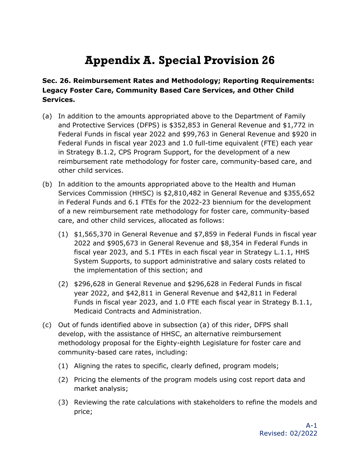# **Appendix A. Special Provision 26**

#### <span id="page-20-0"></span>**Sec. 26. Reimbursement Rates and Methodology; Reporting Requirements: Legacy Foster Care, Community Based Care Services, and Other Child Services.**

- (a) In addition to the amounts appropriated above to the Department of Family and Protective Services (DFPS) is \$352,853 in General Revenue and \$1,772 in Federal Funds in fiscal year 2022 and \$99,763 in General Revenue and \$920 in Federal Funds in fiscal year 2023 and 1.0 full-time equivalent (FTE) each year in Strategy B.1.2, CPS Program Support, for the development of a new reimbursement rate methodology for foster care, community-based care, and other child services.
- (b) In addition to the amounts appropriated above to the Health and Human Services Commission (HHSC) is \$2,810,482 in General Revenue and \$355,652 in Federal Funds and 6.1 FTEs for the 2022-23 biennium for the development of a new reimbursement rate methodology for foster care, community-based care, and other child services, allocated as follows:
	- (1) \$1,565,370 in General Revenue and \$7,859 in Federal Funds in fiscal year 2022 and \$905,673 in General Revenue and \$8,354 in Federal Funds in fiscal year 2023, and 5.1 FTEs in each fiscal year in Strategy L.1.1, HHS System Supports, to support administrative and salary costs related to the implementation of this section; and
	- (2) \$296,628 in General Revenue and \$296,628 in Federal Funds in fiscal year 2022, and \$42,811 in General Revenue and \$42,811 in Federal Funds in fiscal year 2023, and 1.0 FTE each fiscal year in Strategy B.1.1, Medicaid Contracts and Administration.
- (c) Out of funds identified above in subsection (a) of this rider, DFPS shall develop, with the assistance of HHSC, an alternative reimbursement methodology proposal for the Eighty-eighth Legislature for foster care and community-based care rates, including:
	- (1) Aligning the rates to specific, clearly defined, program models;
	- (2) Pricing the elements of the program models using cost report data and market analysis;
	- (3) Reviewing the rate calculations with stakeholders to refine the models and price;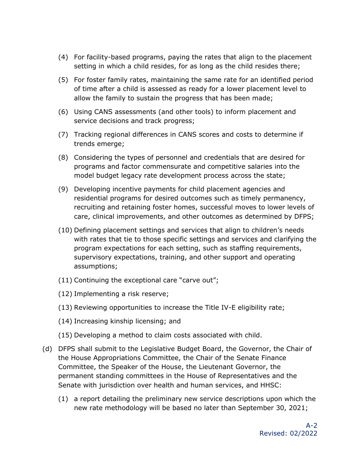- (4) For facility-based programs, paying the rates that align to the placement setting in which a child resides, for as long as the child resides there;
- (5) For foster family rates, maintaining the same rate for an identified period of time after a child is assessed as ready for a lower placement level to allow the family to sustain the progress that has been made;
- (6) Using CANS assessments (and other tools) to inform placement and service decisions and track progress;
- (7) Tracking regional differences in CANS scores and costs to determine if trends emerge;
- (8) Considering the types of personnel and credentials that are desired for programs and factor commensurate and competitive salaries into the model budget legacy rate development process across the state;
- (9) Developing incentive payments for child placement agencies and residential programs for desired outcomes such as timely permanency, recruiting and retaining foster homes, successful moves to lower levels of care, clinical improvements, and other outcomes as determined by DFPS;
- (10) Defining placement settings and services that align to children's needs with rates that tie to those specific settings and services and clarifying the program expectations for each setting, such as staffing requirements, supervisory expectations, training, and other support and operating assumptions;
- (11) Continuing the exceptional care "carve out";
- (12) Implementing a risk reserve;
- (13) Reviewing opportunities to increase the Title IV-E eligibility rate;
- (14) Increasing kinship licensing; and
- (15) Developing a method to claim costs associated with child.
- (d) DFPS shall submit to the Legislative Budget Board, the Governor, the Chair of the House Appropriations Committee, the Chair of the Senate Finance Committee, the Speaker of the House, the Lieutenant Governor, the permanent standing committees in the House of Representatives and the Senate with jurisdiction over health and human services, and HHSC:
	- (1) a report detailing the preliminary new service descriptions upon which the new rate methodology will be based no later than September 30, 2021;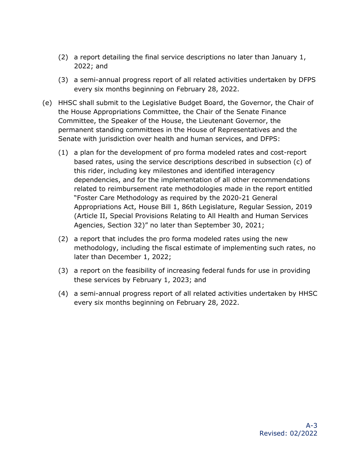- (2) a report detailing the final service descriptions no later than January 1, 2022; and
- (3) a semi-annual progress report of all related activities undertaken by DFPS every six months beginning on February 28, 2022.
- (e) HHSC shall submit to the Legislative Budget Board, the Governor, the Chair of the House Appropriations Committee, the Chair of the Senate Finance Committee, the Speaker of the House, the Lieutenant Governor, the permanent standing committees in the House of Representatives and the Senate with jurisdiction over health and human services, and DFPS:
	- (1) a plan for the development of pro forma modeled rates and cost-report based rates, using the service descriptions described in subsection (c) of this rider, including key milestones and identified interagency dependencies, and for the implementation of all other recommendations related to reimbursement rate methodologies made in the report entitled "Foster Care Methodology as required by the 2020-21 General Appropriations Act, House Bill 1, 86th Legislature, Regular Session, 2019 (Article II, Special Provisions Relating to All Health and Human Services Agencies, Section 32)" no later than September 30, 2021;
	- (2) a report that includes the pro forma modeled rates using the new methodology, including the fiscal estimate of implementing such rates, no later than December 1, 2022;
	- (3) a report on the feasibility of increasing federal funds for use in providing these services by February 1, 2023; and
	- (4) a semi-annual progress report of all related activities undertaken by HHSC every six months beginning on February 28, 2022.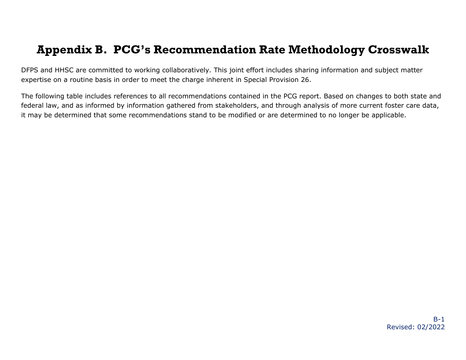#### **Appendix B. PCG's Recommendation Rate Methodology Crosswalk**

DFPS and HHSC are committed to working collaboratively. This joint effort includes sharing information and subject matter expertise on a routine basis in order to meet the charge inherent in Special Provision 26.

<span id="page-23-0"></span>The following table includes references to all recommendations contained in the PCG report. Based on changes to both state and federal law, and as informed by information gathered from stakeholders, and through analysis of more current foster care data, it may be determined that some recommendations stand to be modified or are determined to no longer be applicable.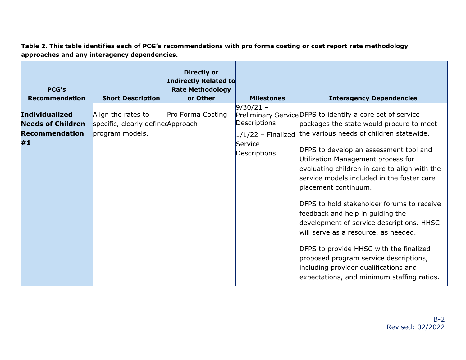**Table 2. This table identifies each of PCG's recommendations with pro forma costing or cost report rate methodology approaches and any interagency dependencies.**

| <b>PCG's</b><br><b>Recommendation</b> | <b>Short Description</b>           | <b>Directly or</b><br>Indirectly Related to<br><b>Rate Methodology</b><br>or Other | <b>Milestones</b>       | <b>Interagency Dependencies</b>                                                                                                                                                                                                                                                                                                                                                                                                                                                                                                                        |
|---------------------------------------|------------------------------------|------------------------------------------------------------------------------------|-------------------------|--------------------------------------------------------------------------------------------------------------------------------------------------------------------------------------------------------------------------------------------------------------------------------------------------------------------------------------------------------------------------------------------------------------------------------------------------------------------------------------------------------------------------------------------------------|
|                                       |                                    |                                                                                    | $9/30/21 -$             |                                                                                                                                                                                                                                                                                                                                                                                                                                                                                                                                                        |
| <b>Individualized</b>                 | Align the rates to                 | Pro Forma Costing                                                                  |                         | Preliminary Service DFPS to identify a core set of service                                                                                                                                                                                                                                                                                                                                                                                                                                                                                             |
| <b>Needs of Children</b>              | specific, clearly defined Approach |                                                                                    | Descriptions            | packages the state would procure to meet                                                                                                                                                                                                                                                                                                                                                                                                                                                                                                               |
| <b>Recommendation</b>                 | program models.                    |                                                                                    | $1/1/22$ - Finalized    | the various needs of children statewide.                                                                                                                                                                                                                                                                                                                                                                                                                                                                                                               |
| #1                                    |                                    |                                                                                    | Service<br>Descriptions | DFPS to develop an assessment tool and<br>Utilization Management process for<br>evaluating children in care to align with the<br>service models included in the foster care<br>placement continuum.<br>DFPS to hold stakeholder forums to receive<br>feedback and help in guiding the<br>development of service descriptions. HHSC<br>will serve as a resource, as needed.<br>DFPS to provide HHSC with the finalized<br>proposed program service descriptions,<br>including provider qualifications and<br>expectations, and minimum staffing ratios. |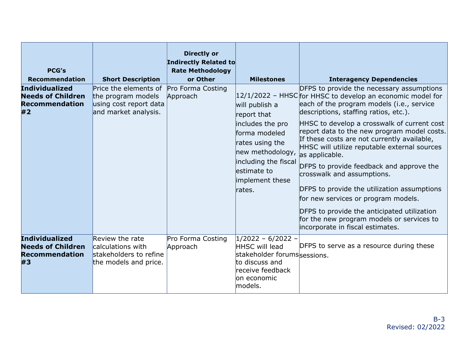| <b>PCG's</b><br><b>Recommendation</b>                                            | <b>Short Description</b>                                                                      | <b>Directly or</b><br>Indirectly Related to<br><b>Rate Methodology</b><br>or Other | <b>Milestones</b>                                                                                                                                                              | <b>Interagency Dependencies</b>                                                                                                                                                                                                                                                                                                                                                                                                                                                                                                                                                                                                                                                                                |
|----------------------------------------------------------------------------------|-----------------------------------------------------------------------------------------------|------------------------------------------------------------------------------------|--------------------------------------------------------------------------------------------------------------------------------------------------------------------------------|----------------------------------------------------------------------------------------------------------------------------------------------------------------------------------------------------------------------------------------------------------------------------------------------------------------------------------------------------------------------------------------------------------------------------------------------------------------------------------------------------------------------------------------------------------------------------------------------------------------------------------------------------------------------------------------------------------------|
| <b>Individualized</b><br><b>Needs of Children</b><br><b>Recommendation</b><br>#2 | Price the elements of<br>the program models<br>using cost report data<br>and market analysis. | Pro Forma Costing<br>Approach                                                      | will publish a<br>report that<br>includes the pro<br>forma modeled<br>rates using the<br>new methodology,<br>including the fiscal<br>lestimate to<br>implement these<br>rates. | DFPS to provide the necessary assumptions<br>$12/1/2022$ - HHSC for HHSC to develop an economic model for<br>each of the program models (i.e., service<br>descriptions, staffing ratios, etc.).<br>HHSC to develop a crosswalk of current cost<br>report data to the new program model costs.<br>If these costs are not currently available,<br>HHSC will utilize reputable external sources<br>as applicable.<br>DFPS to provide feedback and approve the<br>crosswalk and assumptions.<br>DFPS to provide the utilization assumptions<br>for new services or program models.<br>DFPS to provide the anticipated utilization<br>for the new program models or services to<br>incorporate in fiscal estimates. |
| <b>Individualized</b><br><b>Needs of Children</b><br><b>Recommendation</b><br>#3 | Review the rate<br>calculations with<br>stakeholders to refine<br>the models and price.       | Pro Forma Costing<br>Approach                                                      | $1/2022 - 6/2022 -$<br><b>HHSC will lead</b><br>stakeholder forumssessions.<br>to discuss and<br>receive feedback<br>on economic<br>models.                                    | DFPS to serve as a resource during these                                                                                                                                                                                                                                                                                                                                                                                                                                                                                                                                                                                                                                                                       |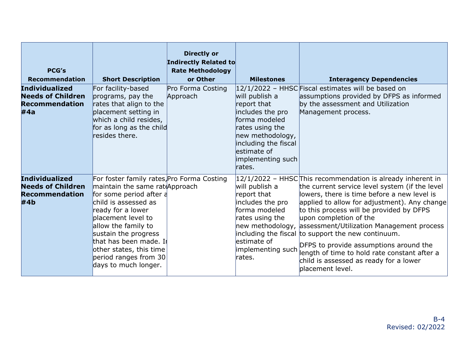| <b>PCG's</b><br><b>Recommendation</b>                                             | <b>Short Description</b>                                                                                                                                                                                                                                                                                                        | <b>Directly or</b><br>Indirectly Related to<br><b>Rate Methodology</b><br>or Other | <b>Milestones</b>                                                                                                                                                               | <b>Interagency Dependencies</b>                                                                                                                                                                                                                                                                                                                                                                                                                                                                                                                               |
|-----------------------------------------------------------------------------------|---------------------------------------------------------------------------------------------------------------------------------------------------------------------------------------------------------------------------------------------------------------------------------------------------------------------------------|------------------------------------------------------------------------------------|---------------------------------------------------------------------------------------------------------------------------------------------------------------------------------|---------------------------------------------------------------------------------------------------------------------------------------------------------------------------------------------------------------------------------------------------------------------------------------------------------------------------------------------------------------------------------------------------------------------------------------------------------------------------------------------------------------------------------------------------------------|
| <b>Individualized</b><br><b>Needs of Children</b><br><b>Recommendation</b><br>#4a | For facility-based<br>programs, pay the<br>rates that align to the<br>placement setting in<br>which a child resides,<br>for as long as the child<br>resides there.                                                                                                                                                              | Pro Forma Costing<br>Approach                                                      | will publish a<br>report that<br>includes the pro<br>forma modeled<br>rates using the<br>new methodology,<br>including the fiscal<br>estimate of<br>implementing such<br>rates. | 12/1/2022 - HHSC Fiscal estimates will be based on<br>assumptions provided by DFPS as informed<br>by the assessment and Utilization<br>Management process.                                                                                                                                                                                                                                                                                                                                                                                                    |
| <b>Individualized</b><br><b>Needs of Children</b><br><b>Recommendation</b><br>#4b | For foster family rates, Pro Forma Costing<br>maintain the same rateApproach<br>for some period after a<br>child is assessed as<br>ready for a lower<br>placement level to<br>allow the family to<br>sustain the progress<br>that has been made. Ii<br>other states, this time<br>period ranges from 30<br>days to much longer. |                                                                                    | will publish a<br>report that<br>includes the pro<br>forma modeled<br>rates using the<br>estimate of<br>implementing such<br>rates.                                             | 12/1/2022 - HHSCThis recommendation is already inherent in<br>the current service level system (if the level<br>lowers, there is time before a new level is<br>applied to allow for adjustment). Any change<br>to this process will be provided by DFPS<br>upon completion of the<br>new methodology, assessment/Utilization Management process<br>including the fiscal to support the new continuum.<br>DFPS to provide assumptions around the<br>length of time to hold rate constant after a<br>child is assessed as ready for a lower<br>blacement level. |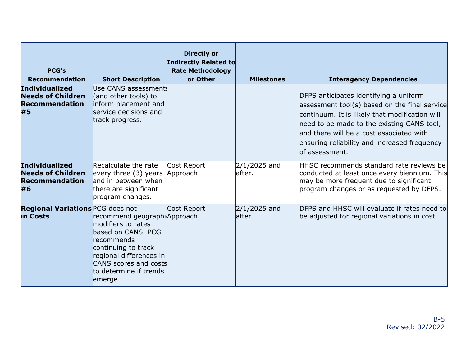| <b>PCG's</b><br><b>Recommendation</b>                                            | <b>Short Description</b>                                                                                                                                                                               | <b>Directly or</b><br><b>Indirectly Related to</b><br><b>Rate Methodology</b><br>or Other | <b>Milestones</b>         | <b>Interagency Dependencies</b>                                                                                                                                                                                                                                                                        |
|----------------------------------------------------------------------------------|--------------------------------------------------------------------------------------------------------------------------------------------------------------------------------------------------------|-------------------------------------------------------------------------------------------|---------------------------|--------------------------------------------------------------------------------------------------------------------------------------------------------------------------------------------------------------------------------------------------------------------------------------------------------|
| <b>Individualized</b><br><b>Needs of Children</b><br><b>Recommendation</b><br>#5 | Use CANS assessment!<br>(and other tools) to<br>inform placement and<br>service decisions and<br>track progress.                                                                                       |                                                                                           |                           | DFPS anticipates identifying a uniform<br>assessment tool(s) based on the final service<br>continuum. It is likely that modification will<br>need to be made to the existing CANS tool,<br>and there will be a cost associated with<br>ensuring reliability and increased frequency<br>lof assessment. |
| <b>Individualized</b><br><b>Needs of Children</b><br><b>Recommendation</b><br>#6 | Recalculate the rate<br>every three $(3)$ years<br>and in between when<br>there are significant<br>program changes.                                                                                    | Cost Report<br>Approach                                                                   | $2/1/2025$ and<br>lafter. | HHSC recommends standard rate reviews be<br>conducted at least once every biennium. This<br>may be more frequent due to significant<br>program changes or as requested by DFPS.                                                                                                                        |
| <b>Regional Variations PCG does not</b><br>in Costs                              | recommend geographiApproach<br>modifiers to rates<br>based on CANS. PCG<br>lrecommends<br>continuing to track<br>regional differences in<br>CANS scores and costs<br>to determine if trends<br>emerge. | Cost Report                                                                               | $2/1/2025$ and<br>lafter. | DFPS and HHSC will evaluate if rates need to<br>be adjusted for regional variations in cost.                                                                                                                                                                                                           |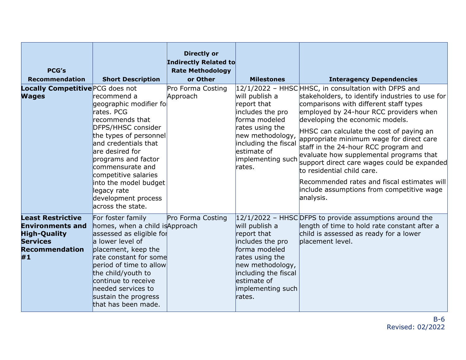| <b>PCG's</b><br><b>Recommendation</b>                                                                                        | <b>Short Description</b>                                                                                                                                                                                                                                                                                                 | <b>Directly or</b><br><b>Indirectly Related to</b><br><b>Rate Methodology</b><br>or Other | <b>Milestones</b>                                                                                                                                                                | <b>Interagency Dependencies</b>                                                                                                                                                                                                                                                                                                                                                                                                                                                                                                                                                                |
|------------------------------------------------------------------------------------------------------------------------------|--------------------------------------------------------------------------------------------------------------------------------------------------------------------------------------------------------------------------------------------------------------------------------------------------------------------------|-------------------------------------------------------------------------------------------|----------------------------------------------------------------------------------------------------------------------------------------------------------------------------------|------------------------------------------------------------------------------------------------------------------------------------------------------------------------------------------------------------------------------------------------------------------------------------------------------------------------------------------------------------------------------------------------------------------------------------------------------------------------------------------------------------------------------------------------------------------------------------------------|
| Locally Competitive PCG does not<br><b>Wages</b>                                                                             | recommend a<br>geographic modifier fo<br>rates. PCG<br>recommends that<br>DFPS/HHSC consider<br>the types of personnel<br>and credentials that<br>are desired for<br>programs and factor<br>commensurate and<br>competitive salaries<br>into the model budget<br>legacy rate<br>development process<br>across the state. | Pro Forma Costing<br>Approach                                                             | will publish a<br>report that<br>includes the pro<br>forma modeled<br>rates using the<br>new methodology,<br>including the fiscal<br>lestimate of<br>implementing such<br>rates. | 12/1/2022 - HHSCHHSC, in consultation with DFPS and<br>stakeholders, to identify industries to use for<br>comparisons with different staff types<br>employed by 24-hour RCC providers when<br>developing the economic models.<br>HHSC can calculate the cost of paying an<br>appropriate minimum wage for direct care<br>staff in the 24-hour RCC program and<br>evaluate how supplemental programs that<br>support direct care wages could be expanded<br>to residential child care.<br>Recommended rates and fiscal estimates will<br>include assumptions from competitive wage<br>analysis. |
| <b>Least Restrictive</b><br><b>Environments and</b><br><b>High-Quality</b><br><b>Services</b><br><b>Recommendation</b><br>#1 | For foster family<br>homes, when a child is Approach<br>assessed as eligible for<br>a lower level of<br>placement, keep the<br>rate constant for some<br>period of time to allow<br>the child/youth to<br>continue to receive<br>needed services to<br>sustain the progress<br>that has been made.                       | Pro Forma Costing                                                                         | will publish a<br>report that<br>includes the pro<br>forma modeled<br>rates using the<br>new methodology,<br>including the fiscal<br>estimate of<br>implementing such<br>rates.  | $ 12/1/2022 - HHSC $ DFPS to provide assumptions around the<br>length of time to hold rate constant after a<br>child is assessed as ready for a lower<br>placement level.                                                                                                                                                                                                                                                                                                                                                                                                                      |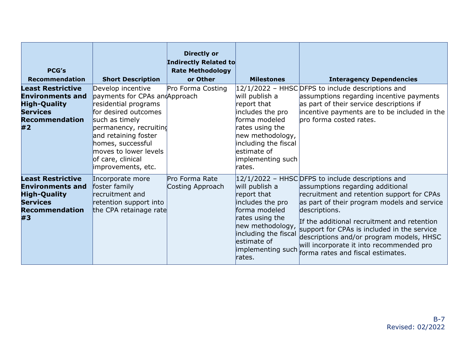| <b>PCG's</b><br><b>Recommendation</b>                                                                                        | <b>Short Description</b>                                                                                                                                                                                                                                             | <b>Directly or</b><br>Indirectly Related to<br><b>Rate Methodology</b><br>or Other | <b>Milestones</b>                                                                                                                                                                | <b>Interagency Dependencies</b>                                                                                                                                                                                                                                                                                                                                                                                                |
|------------------------------------------------------------------------------------------------------------------------------|----------------------------------------------------------------------------------------------------------------------------------------------------------------------------------------------------------------------------------------------------------------------|------------------------------------------------------------------------------------|----------------------------------------------------------------------------------------------------------------------------------------------------------------------------------|--------------------------------------------------------------------------------------------------------------------------------------------------------------------------------------------------------------------------------------------------------------------------------------------------------------------------------------------------------------------------------------------------------------------------------|
| <b>Least Restrictive</b><br><b>Environments and</b><br><b>High-Quality</b><br><b>Services</b><br><b>Recommendation</b><br>#2 | Develop incentive<br>payments for CPAs and Approach<br>residential programs<br>for desired outcomes<br>such as timely<br>permanency, recruiting<br>and retaining foster<br>homes, successful<br>$ $ moves to lower levels<br>of care, clinical<br>improvements, etc. | Pro Forma Costing                                                                  | will publish a<br>report that<br>includes the pro<br>forma modeled<br>rates using the<br>new methodology,<br>including the fiscal<br>lestimate of<br>implementing such<br>rates. | 12/1/2022 - HHSC DFPS to include descriptions and<br>assumptions regarding incentive payments<br>as part of their service descriptions if<br>incentive payments are to be included in the<br>bro forma costed rates.                                                                                                                                                                                                           |
| <b>Least Restrictive</b><br><b>Environments and</b><br><b>High-Quality</b><br><b>Services</b><br><b>Recommendation</b><br>#3 | Incorporate more<br>foster family<br>recruitment and<br>retention support into<br>the CPA retainage rate                                                                                                                                                             | Pro Forma Rate<br>Costing Approach                                                 | will publish a<br>report that<br>includes the pro<br>forma modeled<br>rates using the<br>new methodology,<br>including the fiscal<br>estimate of<br>implementing such<br>rates.  | 12/1/2022 - HHSC DFPS to include descriptions and<br>assumptions regarding additional<br>recruitment and retention support for CPAs<br>as part of their program models and service<br>descriptions.<br>If the additional recruitment and retention<br>support for CPAs is included in the service<br>descriptions and/or program models, HHSC<br>will incorporate it into recommended pro<br>forma rates and fiscal estimates. |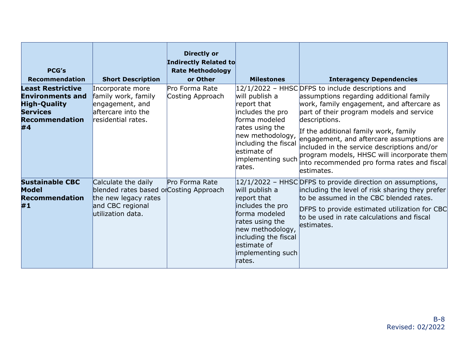| <b>PCG's</b><br><b>Recommendation</b>                                                                                        | <b>Short Description</b>                                                                                                        | <b>Directly or</b><br>Indirectly Related to<br><b>Rate Methodology</b><br>or Other | <b>Milestones</b>                                                                                                                                                                | <b>Interagency Dependencies</b>                                                                                                                                                                                                                                                                                                                                                                                                                           |
|------------------------------------------------------------------------------------------------------------------------------|---------------------------------------------------------------------------------------------------------------------------------|------------------------------------------------------------------------------------|----------------------------------------------------------------------------------------------------------------------------------------------------------------------------------|-----------------------------------------------------------------------------------------------------------------------------------------------------------------------------------------------------------------------------------------------------------------------------------------------------------------------------------------------------------------------------------------------------------------------------------------------------------|
| <b>Least Restrictive</b><br><b>Environments and</b><br><b>High-Quality</b><br><b>Services</b><br><b>Recommendation</b><br>#4 | Incorporate more<br>family work, family<br>engagement, and<br>aftercare into the<br>residential rates.                          | Pro Forma Rate<br>Costing Approach                                                 | will publish a<br>report that<br>includes the pro<br>forma modeled<br>rates using the<br>new methodology,<br>including the fiscal<br>lestimate of<br>implementing such<br>rates. | $12/1/2022$ – HHSC DFPS to include descriptions and<br>assumptions regarding additional family<br>work, family engagement, and aftercare as<br>part of their program models and service<br>descriptions.<br>If the additional family work, family<br>engagement, and aftercare assumptions are<br>included in the service descriptions and/or<br>program models, HHSC will incorporate them<br>into recommended pro forma rates and fiscal<br>lestimates. |
| <b>Sustainable CBC</b><br><b>Model</b><br><b>Recommendation</b><br>#1                                                        | Calculate the daily<br>blended rates based or Costing Approach<br>the new legacy rates<br>and CBC regional<br>utilization data. | Pro Forma Rate                                                                     | will publish a<br>report that<br>includes the pro<br>forma modeled<br>rates using the<br>new methodology,<br>including the fiscal<br>lestimate of<br>implementing such<br>rates. | $ 12/1/2022 - HHSC $ DFPS to provide direction on assumptions,<br>including the level of risk sharing they prefer<br>to be assumed in the CBC blended rates.<br>DFPS to provide estimated utilization for CBC<br>to be used in rate calculations and fiscal<br>estimates.                                                                                                                                                                                 |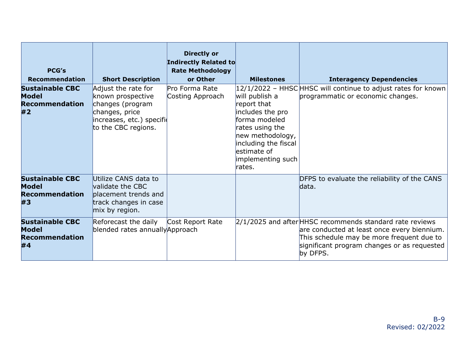| <b>PCG's</b><br><b>Recommendation</b>                                 | <b>Short Description</b>                                                                                                           | <b>Directly or</b><br>Indirectly Related to<br><b>Rate Methodology</b><br>or Other | <b>Milestones</b>                                                                                                                                                               | <b>Interagency Dependencies</b>                                                                                                                                                                                 |
|-----------------------------------------------------------------------|------------------------------------------------------------------------------------------------------------------------------------|------------------------------------------------------------------------------------|---------------------------------------------------------------------------------------------------------------------------------------------------------------------------------|-----------------------------------------------------------------------------------------------------------------------------------------------------------------------------------------------------------------|
| <b>Sustainable CBC</b><br><b>Model</b><br><b>Recommendation</b><br>#2 | Adjust the rate for<br>known prospective<br>changes (program<br>changes, price<br>increases, etc.) specifio<br>to the CBC regions. | Pro Forma Rate<br>Costing Approach                                                 | will publish a<br>report that<br>includes the pro<br>forma modeled<br>rates using the<br>new methodology,<br>including the fiscal<br>estimate of<br>implementing such<br>rates. | 12/1/2022 - HHSC HHSC will continue to adjust rates for known<br>programmatic or economic changes.                                                                                                              |
| <b>Sustainable CBC</b><br><b>Model</b><br><b>Recommendation</b><br>#3 | Utilize CANS data to<br>validate the CBC<br>placement trends and<br>track changes in case<br>mix by region.                        |                                                                                    |                                                                                                                                                                                 | DFPS to evaluate the reliability of the CANS<br>data.                                                                                                                                                           |
| <b>Sustainable CBC</b><br><b>Model</b><br><b>Recommendation</b><br>#4 | Reforecast the daily<br>blended rates annually Approach                                                                            | Cost Report Rate                                                                   |                                                                                                                                                                                 | 2/1/2025 and after HHSC recommends standard rate reviews<br>are conducted at least once every biennium.<br>This schedule may be more frequent due to<br>significant program changes or as requested<br>by DFPS. |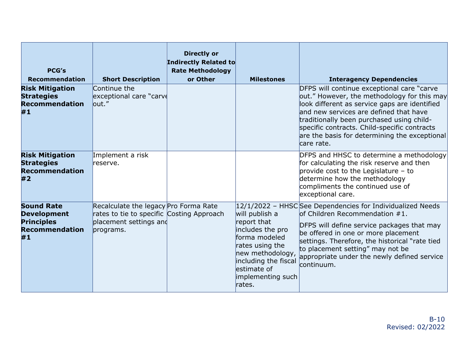| <b>PCG's</b><br><b>Recommendation</b><br><b>Risk Mitigation</b><br><b>Strategies</b><br><b>Recommendation</b><br>#1 | <b>Short Description</b><br>Continue the<br>exceptional care "carve<br>$l$ out."                                          | <b>Directly or</b><br><b>Indirectly Related to</b><br><b>Rate Methodology</b><br>or Other | <b>Milestones</b>                                                                                                                                                                | <b>Interagency Dependencies</b><br>DFPS will continue exceptional care "carve<br>out." However, the methodology for this may<br>look different as service gaps are identified<br>and new services are defined that have<br>traditionally been purchased using child-<br>specific contracts. Child-specific contracts<br>are the basis for determining the exceptional |
|---------------------------------------------------------------------------------------------------------------------|---------------------------------------------------------------------------------------------------------------------------|-------------------------------------------------------------------------------------------|----------------------------------------------------------------------------------------------------------------------------------------------------------------------------------|-----------------------------------------------------------------------------------------------------------------------------------------------------------------------------------------------------------------------------------------------------------------------------------------------------------------------------------------------------------------------|
| <b>Risk Mitigation</b><br><b>Strategies</b><br><b>Recommendation</b><br>#2                                          | Implement a risk<br>reserve.                                                                                              |                                                                                           |                                                                                                                                                                                  | lcare rate.<br>DFPS and HHSC to determine a methodology<br>for calculating the risk reserve and then<br>provide cost to the Legislature $-$ to<br>determine how the methodology<br>compliments the continued use of<br>exceptional care.                                                                                                                              |
| <b>Sound Rate</b><br><b>Development</b><br><b>Principles</b><br><b>Recommendation</b><br>#1                         | Recalculate the legacy Pro Forma Rate<br>rates to tie to specific Costing Approach<br>placement settings and<br>programs. |                                                                                           | will publish a<br>report that<br>includes the pro<br>forma modeled<br>rates using the<br>new methodology,<br>including the fiscal<br>lestimate of<br>implementing such<br>rates. | $ 12/1/2022$ – HHSCSee Dependencies for Individualized Needs<br>lof Children Recommendation $#1.$<br>DFPS will define service packages that may<br>be offered in one or more placement<br>settings. Therefore, the historical "rate tied<br>to placement setting" may not be<br>appropriate under the newly defined service<br>lcontinuum.                            |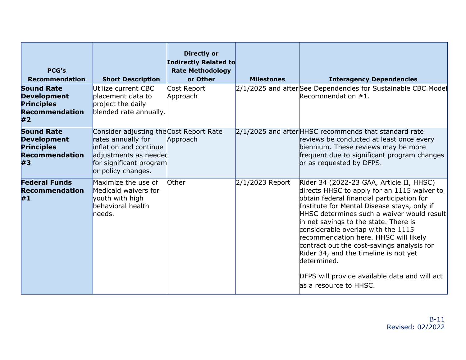| <b>PCG's</b><br><b>Recommendation</b>                                                       | <b>Short Description</b>                                                                                                                                          | <b>Directly or</b><br>Indirectly Related to<br><b>Rate Methodology</b><br>or Other | <b>Milestones</b> | <b>Interagency Dependencies</b>                                                                                                                                                                                                                                                                                                                                                                                                                                                                                                              |
|---------------------------------------------------------------------------------------------|-------------------------------------------------------------------------------------------------------------------------------------------------------------------|------------------------------------------------------------------------------------|-------------------|----------------------------------------------------------------------------------------------------------------------------------------------------------------------------------------------------------------------------------------------------------------------------------------------------------------------------------------------------------------------------------------------------------------------------------------------------------------------------------------------------------------------------------------------|
| <b>Sound Rate</b><br><b>Development</b><br><b>Principles</b><br><b>Recommendation</b><br>#2 | Utilize current CBC<br>blacement data to<br>project the daily<br>blended rate annually.                                                                           | Cost Report<br>Approach                                                            |                   | 2/1/2025 and afterSee Dependencies for Sustainable CBC Model<br>Recommendation $#1.$                                                                                                                                                                                                                                                                                                                                                                                                                                                         |
| <b>Sound Rate</b><br><b>Development</b><br><b>Principles</b><br><b>Recommendation</b><br>#3 | Consider adjusting the Cost Report Rate<br>rates annually for<br>inflation and continue<br>adjustments as needed<br>for significant program<br>or policy changes. | Approach                                                                           |                   | $2/1/2025$ and after HHSC recommends that standard rate<br>reviews be conducted at least once every<br>biennium. These reviews may be more<br>frequent due to significant program changes<br>or as requested by DFPS.                                                                                                                                                                                                                                                                                                                        |
| <b>Federal Funds</b><br><b>Recommendation</b><br>#1                                         | Maximize the use of<br>Medicaid waivers for<br>youth with high<br>behavioral health<br>needs.                                                                     | Other                                                                              | 2/1/2023 Report   | Rider 34 (2022-23 GAA, Article II, HHSC)<br>directs HHSC to apply for an 1115 waiver to<br>obtain federal financial participation for<br>Institute for Mental Disease stays, only if<br>HHSC determines such a waiver would result<br>in net savings to the state. There is<br>considerable overlap with the 1115<br>recommendation here. HHSC will likely<br>contract out the cost-savings analysis for<br>Rider 34, and the timeline is not yet<br>ldetermined.<br>DFPS will provide available data and will act<br>as a resource to HHSC. |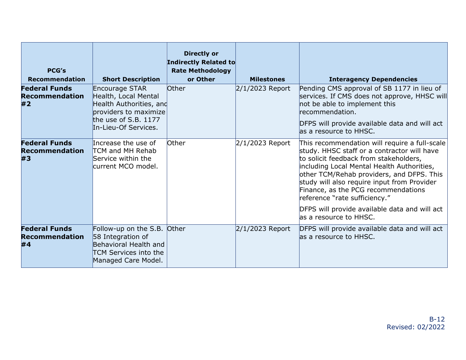| <b>PCG's</b><br><b>Recommendation</b>               | <b>Short Description</b>                                                                                                                     | <b>Directly or</b><br>Indirectly Related to<br><b>Rate Methodology</b><br>or Other | <b>Milestones</b> | <b>Interagency Dependencies</b>                                                                                                                                                                                                                                                                                                                                                                                                      |
|-----------------------------------------------------|----------------------------------------------------------------------------------------------------------------------------------------------|------------------------------------------------------------------------------------|-------------------|--------------------------------------------------------------------------------------------------------------------------------------------------------------------------------------------------------------------------------------------------------------------------------------------------------------------------------------------------------------------------------------------------------------------------------------|
| <b>Federal Funds</b><br><b>Recommendation</b><br>#2 | Encourage STAR<br>Health, Local Mental<br>Health Authorities, and<br>providers to maximize<br>the use of S.B. $1177$<br>In-Lieu-Of Services. | Other                                                                              | $2/1/2023$ Report | Pending CMS approval of SB 1177 in lieu of<br>services. If CMS does not approve, HHSC will<br>not be able to implement this<br>recommendation.<br>DFPS will provide available data and will act<br>las a resource to HHSC.                                                                                                                                                                                                           |
| <b>Federal Funds</b><br><b>Recommendation</b><br>#3 | Increase the use of<br>TCM and MH Rehab<br>Service within the<br>current MCO model.                                                          | Other                                                                              | $2/1/2023$ Report | This recommendation will require a full-scale<br>study. HHSC staff or a contractor will have<br>to solicit feedback from stakeholders,<br>including Local Mental Health Authorities,<br>other TCM/Rehab providers, and DFPS. This<br>study will also require input from Provider<br>Finance, as the PCG recommendations<br>reference "rate sufficiency."<br>DFPS will provide available data and will act<br>las a resource to HHSC. |
| <b>Federal Funds</b><br><b>Recommendation</b><br>#4 | Follow-up on the S.B.<br>58 Integration of<br>Behavioral Health and<br>TCM Services into the<br>Managed Care Model.                          | <b>Other</b>                                                                       | $2/1/2023$ Report | DFPS will provide available data and will act<br>as a resource to HHSC.                                                                                                                                                                                                                                                                                                                                                              |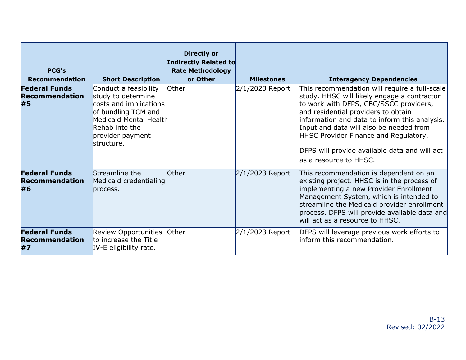| <b>PCG's</b><br><b>Recommendation</b>               | <b>Short Description</b>                                                                                                                                                   | <b>Directly or</b><br>Indirectly Related to<br><b>Rate Methodology</b><br>or Other | <b>Milestones</b> | <b>Interagency Dependencies</b>                                                                                                                                                                                                                                                                                                                                                                |
|-----------------------------------------------------|----------------------------------------------------------------------------------------------------------------------------------------------------------------------------|------------------------------------------------------------------------------------|-------------------|------------------------------------------------------------------------------------------------------------------------------------------------------------------------------------------------------------------------------------------------------------------------------------------------------------------------------------------------------------------------------------------------|
| <b>Federal Funds</b><br><b>Recommendation</b><br>#5 | Conduct a feasibility<br>study to determine<br>costs and implications<br>of bundling TCM and<br>Medicaid Mental Health<br>Rehab into the<br>provider payment<br>structure. | Other                                                                              | $2/1/2023$ Report | This recommendation will require a full-scale<br>study. HHSC will likely engage a contractor<br>to work with DFPS, CBC/SSCC providers,<br>and residential providers to obtain<br>information and data to inform this analysis.<br>Input and data will also be needed from<br>HHSC Provider Finance and Regulatory.<br>DFPS will provide available data and will act<br>las a resource to HHSC. |
| <b>Federal Funds</b><br><b>Recommendation</b><br>#6 | Streamline the<br>Medicaid credentialing<br>process.                                                                                                                       | Other                                                                              | $2/1/2023$ Report | This recommendation is dependent on an<br>existing project. HHSC is in the process of<br>implementing a new Provider Enrollment<br>Management System, which is intended to<br>streamline the Medicaid provider enrollment<br>process. DFPS will provide available data and<br>will act as a resource to HHSC.                                                                                  |
| <b>Federal Funds</b><br><b>Recommendation</b><br>#7 | Review Opportunities<br>to increase the Title<br>IV-E eligibility rate.                                                                                                    | Other                                                                              | 2/1/2023 Report   | DFPS will leverage previous work efforts to<br>linform this recommendation.                                                                                                                                                                                                                                                                                                                    |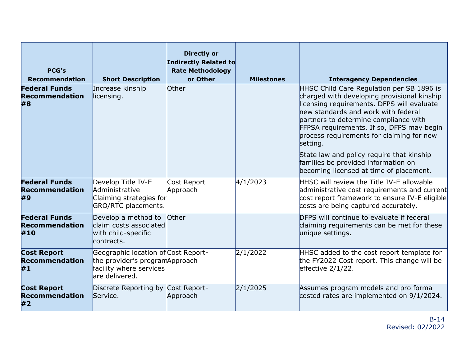| <b>PCG's</b><br><b>Recommendation</b>                | <b>Short Description</b>                                                                                            | <b>Directly or</b><br>Indirectly Related to<br><b>Rate Methodology</b><br>or Other | <b>Milestones</b> | <b>Interagency Dependencies</b>                                                                                                                                                                                                                                                                                                                                                                                                                             |
|------------------------------------------------------|---------------------------------------------------------------------------------------------------------------------|------------------------------------------------------------------------------------|-------------------|-------------------------------------------------------------------------------------------------------------------------------------------------------------------------------------------------------------------------------------------------------------------------------------------------------------------------------------------------------------------------------------------------------------------------------------------------------------|
| <b>Federal Funds</b><br><b>Recommendation</b><br>#8  | Increase kinship<br>licensing.                                                                                      | <b>Other</b>                                                                       |                   | HHSC Child Care Regulation per SB 1896 is<br>charged with developing provisional kinship<br>licensing requirements. DFPS will evaluate<br>new standards and work with federal<br>partners to determine compliance with<br>FFPSA requirements. If so, DFPS may begin<br>process requirements for claiming for new<br>setting.<br>State law and policy require that kinship<br>families be provided information on<br>becoming licensed at time of placement. |
| <b>Federal Funds</b><br><b>Recommendation</b><br>#9  | Develop Title IV-E<br>Administrative<br>Claiming strategies for<br>GRO/RTC placements.                              | Cost Report<br>Approach                                                            | 4/1/2023          | HHSC will review the Title IV-E allowable<br>administrative cost requirements and current<br>cost report framework to ensure IV-E eligible<br>costs are being captured accurately.                                                                                                                                                                                                                                                                          |
| <b>Federal Funds</b><br><b>Recommendation</b><br>#10 | Develop a method to<br>claim costs associated<br>with child-specific<br>contracts.                                  | Other                                                                              |                   | DFPS will continue to evaluate if federal<br>claiming requirements can be met for these<br>unique settings.                                                                                                                                                                                                                                                                                                                                                 |
| <b>Cost Report</b><br><b>Recommendation</b><br>#1    | Geographic location of Cost Report-<br>the provider's program Approach<br>facility where services<br>are delivered. |                                                                                    | 2/1/2022          | HHSC added to the cost report template for<br>the FY2022 Cost report. This change will be<br>effective $2/1/22$ .                                                                                                                                                                                                                                                                                                                                           |
| <b>Cost Report</b><br><b>Recommendation</b><br>#2    | Discrete Reporting by Cost Report-<br>Service.                                                                      | Approach                                                                           | 2/1/2025          | Assumes program models and pro forma<br>costed rates are implemented on 9/1/2024.                                                                                                                                                                                                                                                                                                                                                                           |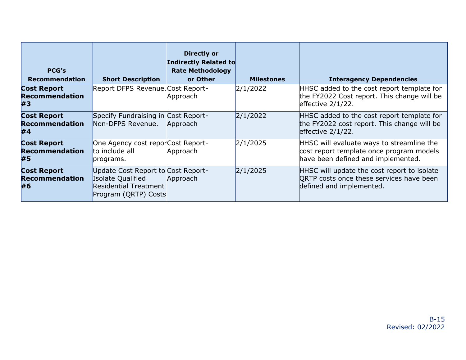| <b>PCG's</b><br><b>Recommendation</b>             | <b>Short Description</b>                                                                                   | <b>Directly or</b><br>Indirectly Related to<br><b>Rate Methodology</b><br>or Other | <b>Milestones</b> | <b>Interagency Dependencies</b>                                                                                             |
|---------------------------------------------------|------------------------------------------------------------------------------------------------------------|------------------------------------------------------------------------------------|-------------------|-----------------------------------------------------------------------------------------------------------------------------|
| <b>Cost Report</b><br><b>Recommendation</b><br>#3 | Report DFPS Revenue. Cost Report-                                                                          | Approach                                                                           | 2/1/2022          | HHSC added to the cost report template for<br>the FY2022 Cost report. This change will be<br>effective $2/1/22$ .           |
| <b>Cost Report</b><br><b>Recommendation</b><br>#4 | Specify Fundraising in Cost Report-<br>Non-DFPS Revenue.                                                   | Approach                                                                           | 2/1/2022          | HHSC added to the cost report template for<br>the FY2022 cost report. This change will be<br>effective $2/1/22$ .           |
| <b>Cost Report</b><br><b>Recommendation</b><br>#5 | One Agency cost reporCost Report-<br>to include all<br>programs.                                           | Approach                                                                           | 2/1/2025          | HHSC will evaluate ways to streamline the<br>cost report template once program models<br>have been defined and implemented. |
| <b>Cost Report</b><br><b>Recommendation</b><br>#6 | Update Cost Report to Cost Report-<br>Isolate Qualified<br>Residential Treatment  <br>Program (QRTP) Costs | Approach                                                                           | 2/1/2025          | HHSC will update the cost report to isolate<br>ORTP costs once these services have been<br>defined and implemented.         |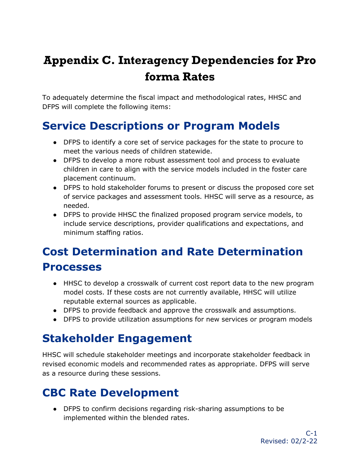# <span id="page-38-0"></span>**Appendix C. Interagency Dependencies for Pro forma Rates**

To adequately determine the fiscal impact and methodological rates, HHSC and DFPS will complete the following items:

#### <span id="page-38-1"></span>**Service Descriptions or Program Models**

- DFPS to identify a core set of service packages for the state to procure to meet the various needs of children statewide.
- DFPS to develop a more robust assessment tool and process to evaluate children in care to align with the service models included in the foster care placement continuum.
- DFPS to hold stakeholder forums to present or discuss the proposed core set of service packages and assessment tools. HHSC will serve as a resource, as needed.
- DFPS to provide HHSC the finalized proposed program service models, to include service descriptions, provider qualifications and expectations, and minimum staffing ratios.

# <span id="page-38-2"></span>**Cost Determination and Rate Determination Processes**

- HHSC to develop a crosswalk of current cost report data to the new program model costs. If these costs are not currently available, HHSC will utilize reputable external sources as applicable.
- DFPS to provide feedback and approve the crosswalk and assumptions.
- DFPS to provide utilization assumptions for new services or program models

#### <span id="page-38-3"></span>**Stakeholder Engagement**

HHSC will schedule stakeholder meetings and incorporate stakeholder feedback in revised economic models and recommended rates as appropriate. DFPS will serve as a resource during these sessions.

#### <span id="page-38-4"></span>**CBC Rate Development**

● DFPS to confirm decisions regarding risk-sharing assumptions to be implemented within the blended rates.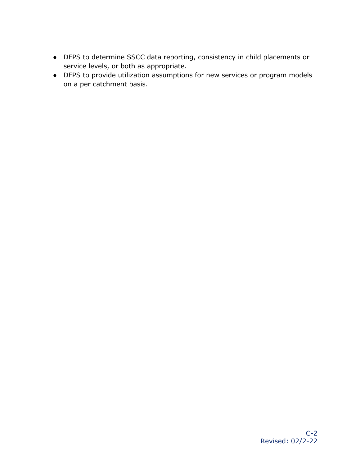- DFPS to determine SSCC data reporting, consistency in child placements or service levels, or both as appropriate.
- DFPS to provide utilization assumptions for new services or program models on a per catchment basis.